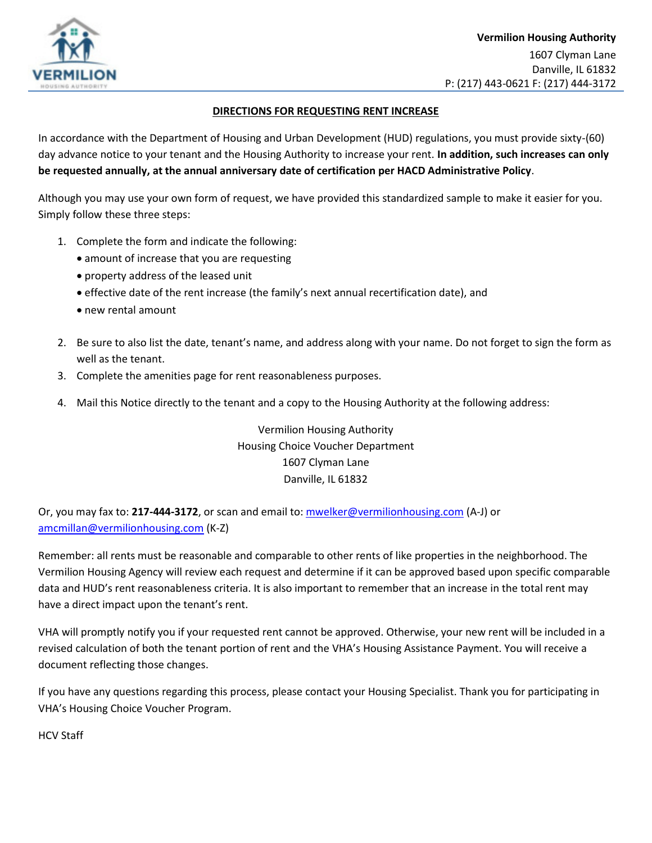

## **DIRECTIONS FOR REQUESTING RENT INCREASE**

In accordance with the Department of Housing and Urban Development (HUD) regulations, you must provide sixty-(60) day advance notice to your tenant and the Housing Authority to increase your rent. **In addition, such increases can only be requested annually, at the annual anniversary date of certification per HACD Administrative Policy**.

Although you may use your own form of request, we have provided this standardized sample to make it easier for you. Simply follow these three steps:

- 1. Complete the form and indicate the following:
	- amount of increase that you are requesting
	- property address of the leased unit
	- effective date of the rent increase (the family's next annual recertification date), and
	- new rental amount
- 2. Be sure to also list the date, tenant's name, and address along with your name. Do not forget to sign the form as well as the tenant.
- 3. Complete the amenities page for rent reasonableness purposes.
- 4. Mail this Notice directly to the tenant and a copy to the Housing Authority at the following address:

Vermilion Housing Authority Housing Choice Voucher Department 1607 Clyman Lane Danville, IL 61832

Or, you may fax to: **217-444-3172**, or scan and email to[: mwelker@vermilionhousing.com](mailto:mwelker@vermilionhousing.com) (A-J) or [amcmillan@vermilionhousing.com](mailto:amcmillan@vermilionhousing.com) (K-Z)

Remember: all rents must be reasonable and comparable to other rents of like properties in the neighborhood. The Vermilion Housing Agency will review each request and determine if it can be approved based upon specific comparable data and HUD's rent reasonableness criteria. It is also important to remember that an increase in the total rent may have a direct impact upon the tenant's rent.

VHA will promptly notify you if your requested rent cannot be approved. Otherwise, your new rent will be included in a revised calculation of both the tenant portion of rent and the VHA's Housing Assistance Payment. You will receive a document reflecting those changes.

If you have any questions regarding this process, please contact your Housing Specialist. Thank you for participating in VHA's Housing Choice Voucher Program.

HCV Staff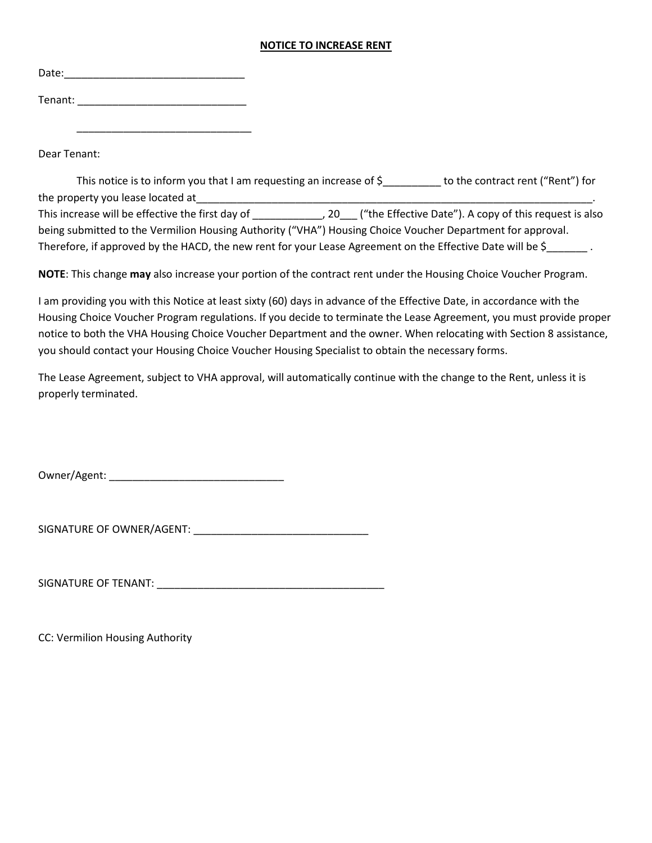## **NOTICE TO INCREASE RENT**

| Date:   |  |  |  |
|---------|--|--|--|
| Tenant: |  |  |  |

 $\overline{\phantom{a}}$  ,  $\overline{\phantom{a}}$  ,  $\overline{\phantom{a}}$  ,  $\overline{\phantom{a}}$  ,  $\overline{\phantom{a}}$  ,  $\overline{\phantom{a}}$  ,  $\overline{\phantom{a}}$  ,  $\overline{\phantom{a}}$  ,  $\overline{\phantom{a}}$  ,  $\overline{\phantom{a}}$  ,  $\overline{\phantom{a}}$  ,  $\overline{\phantom{a}}$  ,  $\overline{\phantom{a}}$  ,  $\overline{\phantom{a}}$  ,  $\overline{\phantom{a}}$  ,  $\overline{\phantom{a}}$ 

Dear Tenant:

This notice is to inform you that I am requesting an increase of \$\_\_\_\_\_\_\_\_\_ to the contract rent ("Rent") for the property you lease located at\_\_\_\_\_\_\_\_\_\_\_\_\_\_\_\_\_\_\_\_\_\_\_\_\_\_\_\_\_\_\_\_\_\_\_\_\_\_\_\_\_\_\_\_\_\_\_\_\_\_\_\_\_\_\_\_\_\_\_\_\_\_\_\_\_\_\_\_. This increase will be effective the first day of \_\_\_\_\_\_\_\_\_\_\_\_, 20\_\_\_ ("the Effective Date"). A copy of this request is also being submitted to the Vermilion Housing Authority ("VHA") Housing Choice Voucher Department for approval. Therefore, if approved by the HACD, the new rent for your Lease Agreement on the Effective Date will be \$

**NOTE**: This change **may** also increase your portion of the contract rent under the Housing Choice Voucher Program.

I am providing you with this Notice at least sixty (60) days in advance of the Effective Date, in accordance with the Housing Choice Voucher Program regulations. If you decide to terminate the Lease Agreement, you must provide proper notice to both the VHA Housing Choice Voucher Department and the owner. When relocating with Section 8 assistance, you should contact your Housing Choice Voucher Housing Specialist to obtain the necessary forms.

The Lease Agreement, subject to VHA approval, will automatically continue with the change to the Rent, unless it is properly terminated.

Owner/Agent: \_\_\_\_\_\_\_\_\_\_\_\_\_\_\_\_\_\_\_\_\_\_\_\_\_\_\_\_\_\_

SIGNATURE OF OWNER/AGENT: \_\_\_\_\_\_\_\_\_\_\_\_\_\_\_\_\_\_\_\_\_\_\_\_\_\_\_\_\_\_

SIGNATURE OF TENANT: \_\_\_\_\_\_\_\_\_\_\_\_\_\_\_\_\_\_\_\_\_\_\_\_\_\_\_\_\_\_\_\_\_\_\_\_\_\_\_

CC: Vermilion Housing Authority